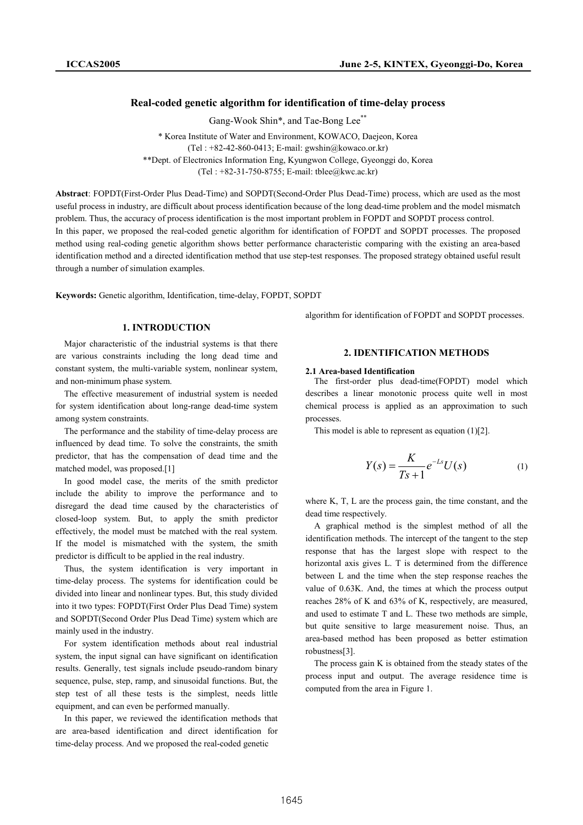## Real-coded genetic algorithm for identification of time-delay process

Gang-Wook Shin\*, and Tae-Bong Lee<sup>\*\*</sup>

\* Korea Institute of Water and Environment, KOWACO, Daejeon, Korea (Tel : +82-42-860-0413; E-mail: gwshin@kowaco.or.kr) \*\*Dept. of Electronics Information Eng, Kyungwon College, Gyeonggi do, Korea (Tel : +82-31-750-8755; E-mail: tblee@kwc.ac.kr)

Abstract: FOPDT(First-Order Plus Dead-Time) and SOPDT(Second-Order Plus Dead-Time) process, which are used as the most useful process in industry, are difficult about process identification because of the long dead-time problem and the model mismatch problem. Thus, the accuracy of process identification is the most important problem in FOPDT and SOPDT process control.

In this paper, we proposed the real-coded genetic algorithm for identification of FOPDT and SOPDT processes. The proposed method using real-coding genetic algorithm shows better performance characteristic comparing with the existing an area-based identification method and a directed identification method that use step-test responses. The proposed strategy obtained useful result through a number of simulation examples.

Keywords: Genetic algorithm, Identification, time-delay, FOPDT, SOPDT

## 1. INTRODUCTION

Major characteristic of the industrial systems is that there are various constraints including the long dead time and constant system, the multi-variable system, nonlinear system, and non-minimum phase system.

The effective measurement of industrial system is needed for system identification about long-range dead-time system among system constraints.

The performance and the stability of time-delay process are influenced by dead time. To solve the constraints, the smith predictor, that has the compensation of dead time and the matched model, was proposed.[1]

In good model case, the merits of the smith predictor include the ability to improve the performance and to disregard the dead time caused by the characteristics of closed-loop system. But, to apply the smith predictor effectively, the model must be matched with the real system. If the model is mismatched with the system, the smith predictor is difficult to be applied in the real industry.

Thus, the system identification is very important in time-delay process. The systems for identification could be divided into linear and nonlinear types. But, this study divided into it two types: FOPDT(First Order Plus Dead Time) system and SOPDT(Second Order Plus Dead Time) system which are mainly used in the industry.

For system identification methods about real industrial system, the input signal can have significant on identification results. Generally, test signals include pseudo-random binary sequence, pulse, step, ramp, and sinusoidal functions. But, the step test of all these tests is the simplest, needs little equipment, and can even be performed manually.

In this paper, we reviewed the identification methods that are area-based identification and direct identification for time-delay process. And we proposed the real-coded genetic

algorithm for identification of FOPDT and SOPDT processes.

## 2. IDENTIFICATION METHODS

#### 2.1 Area-based Identification

The first-order plus dead-time(FOPDT) model which describes a linear monotonic process quite well in most chemical process is applied as an approximation to such processes.

This model is able to represent as equation (1)[2].

$$
Y(s) = \frac{K}{Ts+1}e^{-Ls}U(s) \tag{1}
$$

where K, T, L are the process gain, the time constant, and the dead time respectively.

A graphical method is the simplest method of all the identification methods. The intercept of the tangent to the step response that has the largest slope with respect to the horizontal axis gives L. T is determined from the difference between L and the time when the step response reaches the value of 0.63K. And, the times at which the process output reaches 28% of K and 63% of K, respectively, are measured, and used to estimate T and L. These two methods are simple, but quite sensitive to large measurement noise. Thus, an area-based method has been proposed as better estimation robustness[3].

The process gain K is obtained from the steady states of the process input and output. The average residence time is computed from the area in Figure 1.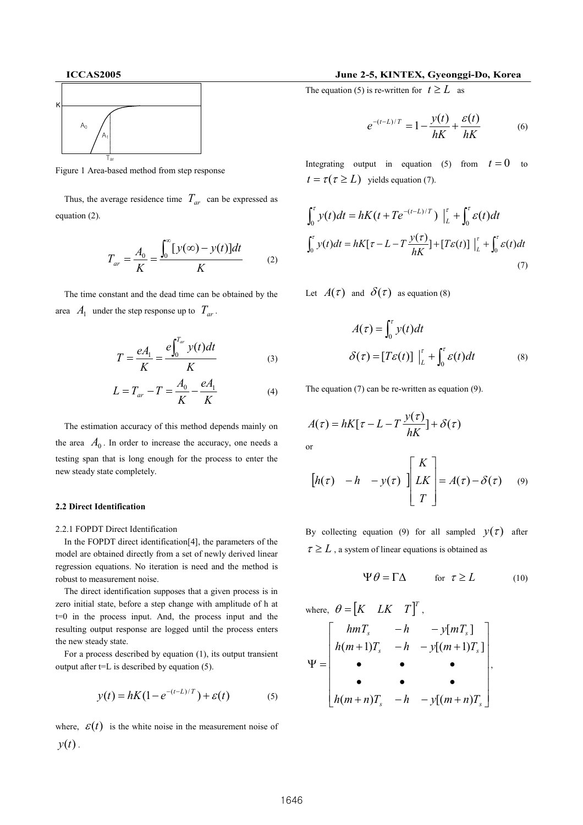

Figure 1 Area-based method from step response

Thus, the average residence time  $T_{ar}$  can be expressed as equation (2).

$$
T_{ar} = \frac{A_0}{K} = \frac{\int_0^{\infty} [y(\infty) - y(t)] dt}{K}
$$
 (2)

The time constant and the dead time can be obtained by the area  $A_1$  under the step response up to  $T_{ar}$ .

$$
T = \frac{eA_1}{K} = \frac{e\int_0^{T_{av}} y(t)dt}{K}
$$
 (3)

$$
L = T_{ar} - T = \frac{A_0}{K} - \frac{eA_1}{K}
$$
 (4)

The estimation accuracy of this method depends mainly on the area  $A_0$ . In order to increase the accuracy, one needs a testing span that is long enough for the process to enter the new steady state completely.

#### 2.2 Direct Identification

2.2.1 FOPDT Direct Identification

In the FOPDT direct identification[4], the parameters of the model are obtained directly from a set of newly derived linear regression equations. No iteration is need and the method is robust to measurement noise.

The direct identification supposes that a given process is in zero initial state, before a step change with amplitude of h at t=0 in the process input. And, the process input and the resulting output response are logged until the process enters the new steady state.

For a process described by equation (1), its output transient output after  $t=L$  is described by equation (5).

$$
y(t) = hK(1 - e^{-(t-L)/T}) + \varepsilon(t)
$$
 (5)

where,  $\varepsilon(t)$  is the white noise in the measurement noise of  $y(t)$ .

## ICCAS2005 June 2-5, KINTEX, Gyeonggi-Do, Korea

The equation (5) is re-written for  $t \geq L$  as

$$
e^{-(t-L)/T} = 1 - \frac{y(t)}{hK} + \frac{\varepsilon(t)}{hK}
$$
 (6)

Integrating output in equation (5) from  $t = 0$  to  $t = \tau(\tau \geq L)$  yields equation (7).

$$
\int_0^{\tau} y(t)dt = hK(t + Te^{-(t-L)/T}) \Big|_L^{\tau} + \int_0^{\tau} \varepsilon(t)dt
$$
  

$$
\int_0^{\tau} y(t)dt = hK[\tau - L - T\frac{y(\tau)}{hK}] + [T\varepsilon(t)] \Big|_L^{\tau} + \int_0^{\tau} \varepsilon(t)dt
$$
 (7)

Let  $A(\tau)$  and  $\delta(\tau)$  as equation (8)

$$
A(\tau) = \int_0^{\tau} y(t)dt
$$
  

$$
\delta(\tau) = [T\varepsilon(t)] \Big|_L^{\tau} + \int_0^{\tau} \varepsilon(t)dt
$$
 (8)

The equation (7) can be re-written as equation (9).

$$
A(\tau) = hK[\tau - L - T\frac{y(\tau)}{hK}] + \delta(\tau)
$$
  
or

$$
\begin{bmatrix} h(\tau) & -h & -y(\tau) \end{bmatrix} \begin{bmatrix} K \\ LK \\ T \end{bmatrix} = A(\tau) - \delta(\tau) \qquad (9)
$$

By collecting equation (9) for all sampled  $y(\tau)$  after  $\tau \geq L$ , a system of linear equations is obtained as

$$
\Psi \theta = \Gamma \Delta \qquad \text{for } \tau \ge L \tag{10}
$$

where, 
$$
\theta = [K \quad LK \quad T]^T
$$
,  
\n
$$
\Psi = \begin{bmatrix} hmT_s & -h & -y[mT_s] \\ h(m+1)T_s & -h & -y[(m+1)T_s] \\ \bullet & \bullet & \bullet \\ h(m+n)T_s & -h & -y[(m+n)T_s \end{bmatrix}
$$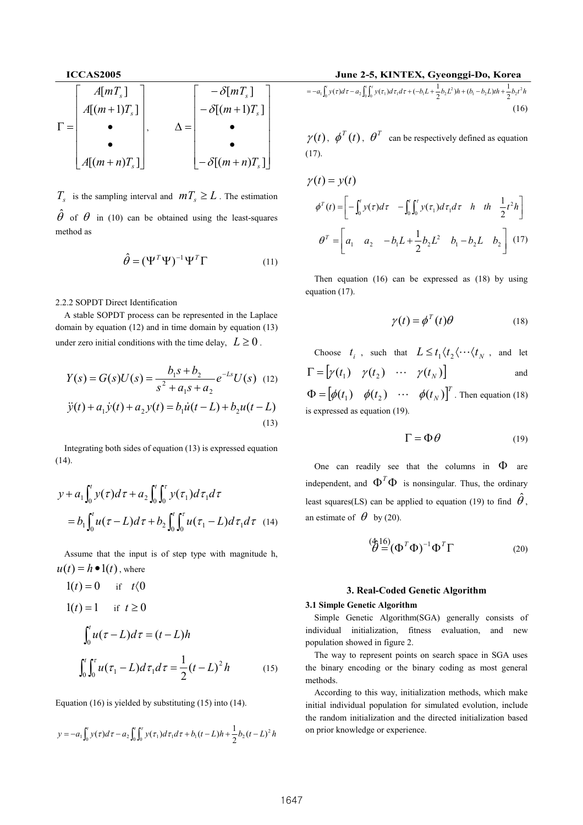

 $T_s$  is the sampling interval and  $mT_s \geq L$ . The estimation  $\hat{\theta}$  of  $\theta$  in (10) can be obtained using the least-squares method as

$$
\hat{\theta} = (\Psi^T \Psi)^{-1} \Psi^T \Gamma \tag{11}
$$

2.2.2 SOPDT Direct Identification

A stable SOPDT process can be represented in the Laplace domain by equation (12) and in time domain by equation (13) under zero initial conditions with the time delay,  $L \ge 0$ .

$$
Y(s) = G(s)U(s) = \frac{b_1s + b_2}{s^2 + a_1s + a_2}e^{-Ls}U(s)
$$
 (12)  

$$
\ddot{y}(t) + a_1\dot{y}(t) + a_2y(t) = b_1\dot{u}(t-L) + b_2u(t-L)
$$
 (13)

Integrating both sides of equation (13) is expressed equation (14).

$$
y + a_1 \int_0^t y(\tau) d\tau + a_2 \int_0^t \int_0^{\tau} y(\tau_1) d\tau_1 d\tau
$$
  
=  $b_1 \int_0^t u(\tau - L) d\tau + b_2 \int_0^t \int_0^{\tau} u(\tau_1 - L) d\tau_1 d\tau$  (14)

Assume that the input is of step type with magnitude h,  $u(t) = h \bullet 1(t)$ , where

$$
1(t) = 0 \quad \text{if} \quad t \le 0
$$
  
\n
$$
1(t) = 1 \quad \text{if} \quad t \ge 0
$$
  
\n
$$
\int_0^t u(\tau - L) d\tau = (t - L)h
$$
  
\n
$$
\int_0^t \int_0^{\tau} u(\tau_1 - L) d\tau_1 d\tau = \frac{1}{2} (t - L)^2 h
$$
 (15)

Equation (16) is yielded by substituting (15) into (14).

$$
y = -a_1 \int_0^t y(\tau) d\tau - a_2 \int_0^t \int_0^{\tau} y(\tau_1) d\tau_1 d\tau + b_1(t - L) h + \frac{1}{2} b_2(t - L)^2 h
$$

$$
= -a_1 \int_0^t y(\tau) d\tau - a_2 \int_0^t \int_0^{\tau} y(\tau_1) d\tau_1 d\tau + (-b_1 L + \frac{1}{2} b_2 L^2) h + (b_1 - b_2 L) t h + \frac{1}{2} b_2 t^2 h
$$
\n(16)

 $\gamma(t)$ ,  $\phi^{T}(t)$ ,  $\theta^{T}$  can be respectively defined as equation (17).

$$
\gamma(t) = y(t)
$$
  
\n
$$
\phi^{T}(t) = \left[ -\int_{0}^{t} y(\tau) d\tau - \int_{0}^{t} \int_{0}^{t} y(\tau_{1}) d\tau_{1} d\tau \quad h \quad th \quad \frac{1}{2} t^{2} h \right]
$$
  
\n
$$
\theta^{T} = \left[ a_{1} \quad a_{2} \quad -b_{1} L + \frac{1}{2} b_{2} L^{2} \quad b_{1} - b_{2} L \quad b_{2} \right] \quad (17)
$$

Then equation (16) can be expressed as (18) by using equation (17).

$$
\gamma(t) = \phi^T(t)\theta \tag{18}
$$

Choose  $t_i$ , such that  $L \leq t_1 \langle t_2 \langle \cdots \langle t_N \rangle \rangle$ , and let  $\Gamma = [\gamma(t_1) \quad \gamma(t_2) \quad \cdots \quad \gamma(t_N)]$  and  $\begin{bmatrix} \phi(t_1) & \phi(t_2) & \cdots & \phi(t_N) \end{bmatrix}^T$  $\Phi = [\phi(t_1) \quad \phi(t_2) \quad \cdots \quad \phi(t_N)]^T$ . Then equation (18) is expressed as equation (19).

$$
\Gamma = \Phi \theta \tag{19}
$$

One can readily see that the columns in  $\Phi$  are independent, and  $\Phi^T \Phi$  is nonsingular. Thus, the ordinary least squares(LS) can be applied to equation (19) to find  $\hat{\theta}$ , an estimate of  $\theta$  by (20).

Assume that the input is of step type with magnitude h\n
$$
\overset{\text{(4)16)}}{\theta} = (\Phi^T \Phi)^{-1} \Phi^T \Gamma
$$
\n(20)

### 3. Real-Coded Genetic Algorithm

## 3.1 Simple Genetic Algorithm

Simple Genetic Algorithm(SGA) generally consists of individual initialization, fitness evaluation, and new population showed in figure 2.

The way to represent points on search space in SGA uses the binary encoding or the binary coding as most general methods.

According to this way, initialization methods, which make initial individual population for simulated evolution, include the random initialization and the directed initialization based on prior knowledge or experience.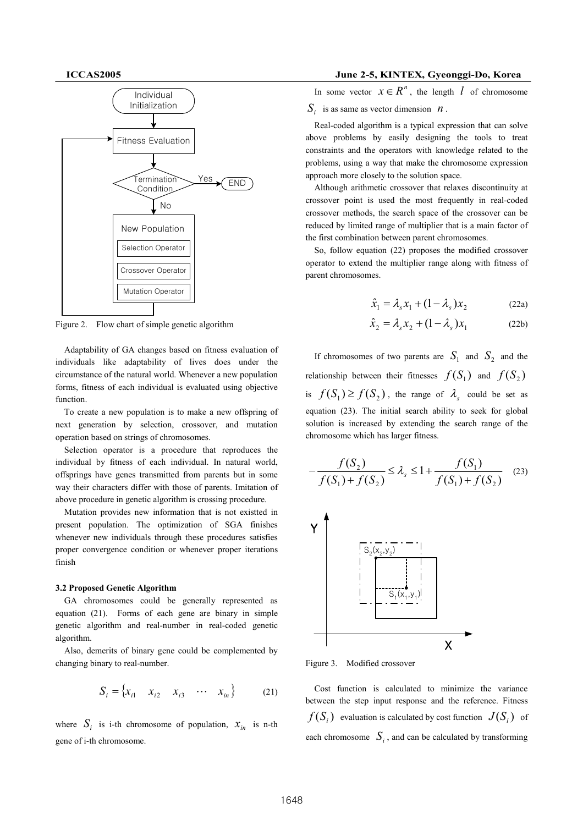

Figure 2. Flow chart of simple genetic algorithm

Adaptability of GA changes based on fitness evaluation of individuals like adaptability of lives does under the circumstance of the natural world. Whenever a new population forms, fitness of each individual is evaluated using objective function.

To create a new population is to make a new offspring of next generation by selection, crossover, and mutation operation based on strings of chromosomes.

Selection operator is a procedure that reproduces the individual by fitness of each individual. In natural world, offsprings have genes transmitted from parents but in some way their characters differ with those of parents. Imitation of above procedure in genetic algorithm is crossing procedure.

Mutation provides new information that is not existted in present population. The optimization of SGA finishes whenever new individuals through these procedures satisfies proper convergence condition or whenever proper iterations finish

## 3.2 Proposed Genetic Algorithm

GA chromosomes could be generally represented as equation (21). Forms of each gene are binary in simple genetic algorithm and real-number in real-coded genetic algorithm.

Also, demerits of binary gene could be complemented by changing binary to real-number.

$$
S_i = \{x_{i1} \quad x_{i2} \quad x_{i3} \quad \cdots \quad x_{in}\}
$$
 (21)

where  $S_i$  is i-th chromosome of population,  $x_{in}$  is n-th gene of i-th chromosome.

## ICCAS2005 June 2-5, KINTEX, Gyeonggi-Do, Korea

In some vector  $x \in R^n$ , the length  $l$  of chromosome

 $S_i$  is as same as vector dimension  $n$ .

Real-coded algorithm is a typical expression that can solve above problems by easily designing the tools to treat constraints and the operators with knowledge related to the problems, using a way that make the chromosome expression approach more closely to the solution space.

Although arithmetic crossover that relaxes discontinuity at crossover point is used the most frequently in real-coded crossover methods, the search space of the crossover can be reduced by limited range of multiplier that is a main factor of the first combination between parent chromosomes.

So, follow equation (22) proposes the modified crossover operator to extend the multiplier range along with fitness of parent chromosomes.

$$
\hat{x}_1 = \lambda_s x_1 + (1 - \lambda_s) x_2 \tag{22a}
$$

$$
\hat{x}_2 = \lambda_s x_2 + (1 - \lambda_s) x_1 \tag{22b}
$$

If chromosomes of two parents are  $S_1$  and  $S_2$  and the relationship between their fitnesses  $f(S_1)$  and  $f(S_2)$ is  $f(S_1) \ge f(S_2)$ , the range of  $\lambda_s$  could be set as equation (23). The initial search ability to seek for global solution is increased by extending the search range of the chromosome which has larger fitness.

$$
-\frac{f(S_2)}{f(S_1) + f(S_2)} \le \lambda_s \le 1 + \frac{f(S_1)}{f(S_1) + f(S_2)} \quad (23)
$$



Figure 3. Modified crossover

Cost function is calculated to minimize the variance between the step input response and the reference. Fitness  $f(S_i)$  evaluation is calculated by cost function  $J(S_i)$  of each chromosome  $S_i$ , and can be calculated by transforming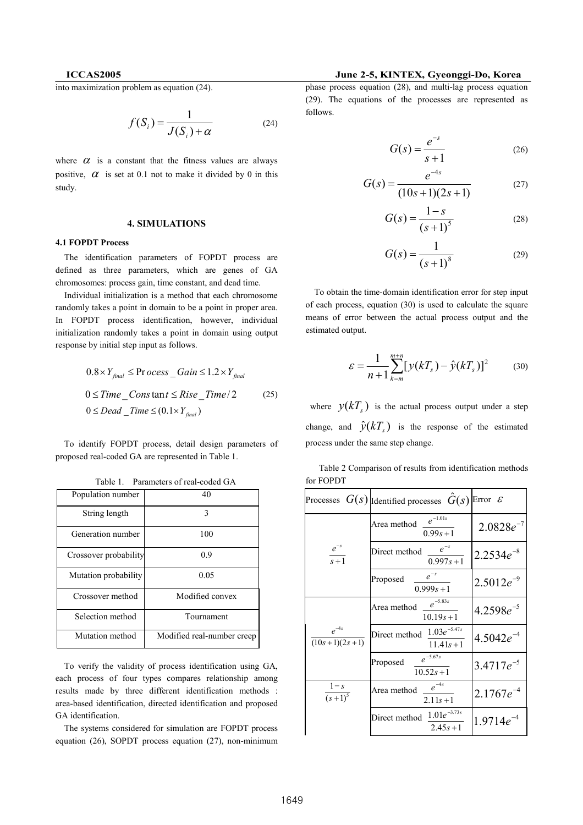into maximization problem as equation (24).

$$
f(S_i) = \frac{1}{J(S_i) + \alpha} \tag{24}
$$

where  $\alpha$  is a constant that the fitness values are always positive,  $\alpha$  is set at 0.1 not to make it divided by 0 in this study.

## 4. SIMULATIONS

## 4.1 FOPDT Process

The identification parameters of FOPDT process are defined as three parameters, which are genes of GA chromosomes: process gain, time constant, and dead time.

Individual initialization is a method that each chromosome randomly takes a point in domain to be a point in proper area. In FOPDT process identification, however, individual initialization randomly takes a point in domain using output response by initial step input as follows.

$$
0.8 \times Y_{\text{final}} \le \text{Process}_{\text{Gain}} \le 1.2 \times Y_{\text{final}}
$$
  

$$
0 \le \text{Time}_{\text{constant}} \le \text{Rise}_{\text{Time}}/2
$$
  

$$
0 \le \text{Dead}_{\text{Time}} \le (0.1 \times Y_{\text{final}})
$$
 (25)

To identify FOPDT process, detail design parameters of proposed real-coded GA are represented in Table 1.

| Population number     | 40                         |
|-----------------------|----------------------------|
| String length         | 3                          |
| Generation number     | 100                        |
| Crossover probability | 0.9                        |
| Mutation probability  | 0.05                       |
| Crossover method      | Modified convex            |
| Selection method      | Tournament                 |
| Mutation method       | Modified real-number creep |

Table 1. Parameters of real-coded GA

To verify the validity of process identification using GA, each process of four types compares relationship among results made by three different identification methods : area-based identification, directed identification and proposed GA identification.

The systems considered for simulation are FOPDT process equation (26), SOPDT process equation (27), non-minimum

# ICCAS2005 June 2-5, KINTEX, Gyeonggi-Do, Korea

phase process equation (28), and multi-lag process equation (29). The equations of the processes are represented as follows.

$$
G(s) = \frac{e^{-s}}{s+1}
$$
 (26)

$$
G(s) = \frac{e^{-4s}}{(10s + 1)(2s + 1)}
$$
 (27)

$$
G(s) = \frac{1 - s}{(s + 1)^5}
$$
 (28)

$$
G(s) = \frac{1}{(s+1)^8}
$$
 (29)

To obtain the time-domain identification error for step input of each process, equation (30) is used to calculate the square means of error between the actual process output and the estimated output.

$$
\varepsilon = \frac{1}{n+1} \sum_{k=m}^{m+n} [y(kT_s) - \hat{y}(kT_s)]^2
$$
 (30)

where  $y(kT_s)$  is the actual process output under a step change, and  $\hat{y}(kT_s)$  is the response of the estimated process under the same step change.

|                              | Processes $G(s)$ [Identified processes $\hat{G}(s)$ Error $\epsilon$ |                |
|------------------------------|----------------------------------------------------------------------|----------------|
| $e^{-s}$<br>$s + 1$          | $e^{-1.01s}$<br>Area method<br>$0.99s + 1$                           | $2.0828e^{-7}$ |
|                              | $e^{-s}$<br>Direct method<br>$0.997s + 1$                            | $2.2534e^{-8}$ |
|                              | $e^{-s}$<br>Proposed<br>$0.999s + 1$                                 | $2.5012e^{-9}$ |
| $e^{-4s}$<br>$(10s+1)(2s+1)$ | $e^{-5.83s}$<br>Area method<br>$10.19s + 1$                          | $4.2598e^{-5}$ |
|                              | $1.03e^{-5.47s}$<br>Direct method<br>$11.41s + 1$                    | $4.5042e^{-4}$ |
|                              | $e^{-5.67s}$<br>Proposed<br>$10.52s + 1$                             | $3.4717e^{-5}$ |
| $\frac{1-s}{(s+1)^5}$        | $e^{-4s}$<br>Area method<br>$2.11s + 1$                              | $2.1767e^{-4}$ |
|                              | $1.01e^{-3.73s}$<br>Direct method<br>$2.45s + 1$                     | $1.9714e^{-4}$ |

 Table 2 Comparison of results from identification methods for FOPDT